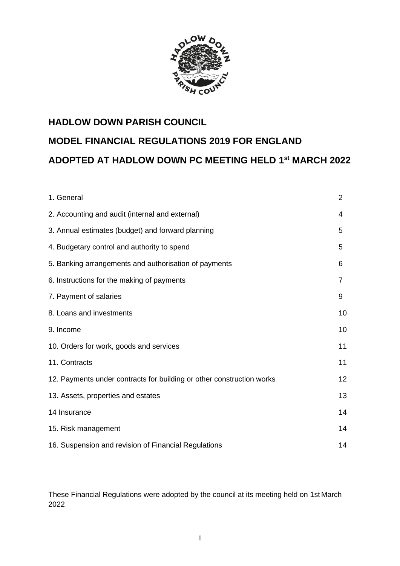

# **HADLOW DOWN PARISH COUNCIL MODEL FINANCIAL REGULATIONS 2019 FOR ENGLAND ADOPTED AT HADLOW DOWN PC MEETING HELD 1 st MARCH 2022**

| 1. General                                                            | $\overline{2}$ |
|-----------------------------------------------------------------------|----------------|
| 2. Accounting and audit (internal and external)                       | 4              |
| 3. Annual estimates (budget) and forward planning                     | 5              |
| 4. Budgetary control and authority to spend                           | 5              |
| 5. Banking arrangements and authorisation of payments                 | 6              |
| 6. Instructions for the making of payments                            | $\overline{7}$ |
| 7. Payment of salaries                                                | 9              |
| 8. Loans and investments                                              | 10             |
| 9. Income                                                             | 10             |
| 10. Orders for work, goods and services                               | 11             |
| 11. Contracts                                                         | 11             |
| 12. Payments under contracts for building or other construction works | 12             |
| 13. Assets, properties and estates                                    | 13             |
| 14 Insurance                                                          | 14             |
| 15. Risk management                                                   | 14             |
| 16. Suspension and revision of Financial Regulations                  | 14             |

These Financial Regulations were adopted by the council at its meeting held on 1st March 2022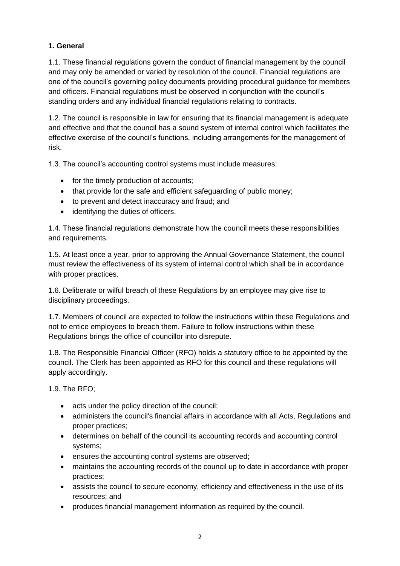## **1. General**

1.1. These financial regulations govern the conduct of financial management by the council and may only be amended or varied by resolution of the council. Financial regulations are one of the council's governing policy documents providing procedural guidance for members and officers. Financial regulations must be observed in conjunction with the council's standing orders and any individual financial regulations relating to contracts.

1.2. The council is responsible in law for ensuring that its financial management is adequate and effective and that the council has a sound system of internal control which facilitates the effective exercise of the council's functions, including arrangements for the management of risk.

1.3. The council's accounting control systems must include measures:

- for the timely production of accounts;
- that provide for the safe and efficient safeguarding of public money;
- to prevent and detect inaccuracy and fraud; and
- identifying the duties of officers.

1.4. These financial regulations demonstrate how the council meets these responsibilities and requirements.

1.5. At least once a year, prior to approving the Annual Governance Statement, the council must review the effectiveness of its system of internal control which shall be in accordance with proper practices.

1.6. Deliberate or wilful breach of these Regulations by an employee may give rise to disciplinary proceedings.

1.7. Members of council are expected to follow the instructions within these Regulations and not to entice employees to breach them. Failure to follow instructions within these Regulations brings the office of councillor into disrepute.

1.8. The Responsible Financial Officer (RFO) holds a statutory office to be appointed by the council. The Clerk has been appointed as RFO for this council and these regulations will apply accordingly.

1.9. The RFO;

- acts under the policy direction of the council;
- administers the council's financial affairs in accordance with all Acts, Regulations and proper practices;
- determines on behalf of the council its accounting records and accounting control systems;
- ensures the accounting control systems are observed;
- maintains the accounting records of the council up to date in accordance with proper practices;
- assists the council to secure economy, efficiency and effectiveness in the use of its resources; and
- produces financial management information as required by the council.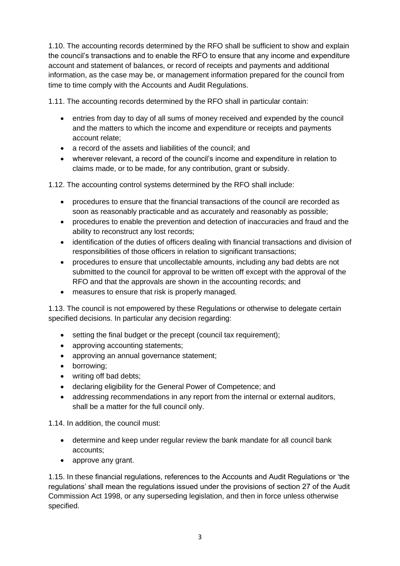1.10. The accounting records determined by the RFO shall be sufficient to show and explain the council's transactions and to enable the RFO to ensure that any income and expenditure account and statement of balances, or record of receipts and payments and additional information, as the case may be, or management information prepared for the council from time to time comply with the Accounts and Audit Regulations.

1.11. The accounting records determined by the RFO shall in particular contain:

- entries from day to day of all sums of money received and expended by the council and the matters to which the income and expenditure or receipts and payments account relate;
- a record of the assets and liabilities of the council; and
- wherever relevant, a record of the council's income and expenditure in relation to claims made, or to be made, for any contribution, grant or subsidy.

1.12. The accounting control systems determined by the RFO shall include:

- procedures to ensure that the financial transactions of the council are recorded as soon as reasonably practicable and as accurately and reasonably as possible;
- procedures to enable the prevention and detection of inaccuracies and fraud and the ability to reconstruct any lost records;
- identification of the duties of officers dealing with financial transactions and division of responsibilities of those officers in relation to significant transactions;
- procedures to ensure that uncollectable amounts, including any bad debts are not submitted to the council for approval to be written off except with the approval of the RFO and that the approvals are shown in the accounting records; and
- measures to ensure that risk is properly managed.

1.13. The council is not empowered by these Regulations or otherwise to delegate certain specified decisions. In particular any decision regarding:

- setting the final budget or the precept (council tax requirement);
- approving accounting statements:
- approving an annual governance statement;
- borrowing;
- writing off bad debts;
- declaring eligibility for the General Power of Competence; and
- addressing recommendations in any report from the internal or external auditors, shall be a matter for the full council only.

1.14. In addition, the council must:

- determine and keep under regular review the bank mandate for all council bank accounts;
- approve any grant.

1.15. In these financial regulations, references to the Accounts and Audit Regulations or 'the regulations' shall mean the regulations issued under the provisions of section 27 of the Audit Commission Act 1998, or any superseding legislation, and then in force unless otherwise specified.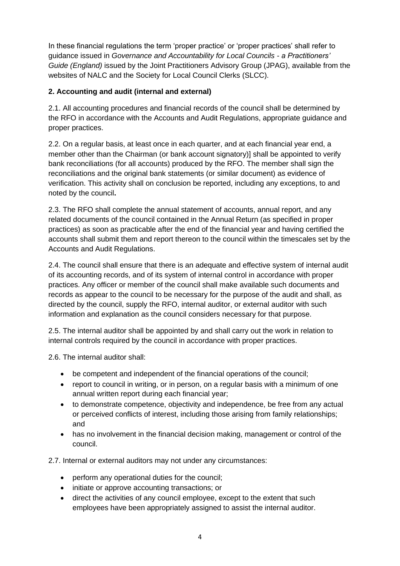In these financial regulations the term 'proper practice' or 'proper practices' shall refer to guidance issued in *Governance and Accountability for Local Councils - a Practitioners' Guide (England)* issued by the Joint Practitioners Advisory Group (JPAG), available from the websites of NALC and the Society for Local Council Clerks (SLCC).

## **2. Accounting and audit (internal and external)**

2.1. All accounting procedures and financial records of the council shall be determined by the RFO in accordance with the Accounts and Audit Regulations, appropriate guidance and proper practices.

2.2. On a regular basis, at least once in each quarter, and at each financial year end, a member other than the Chairman (or bank account signatory)] shall be appointed to verify bank reconciliations (for all accounts) produced by the RFO. The member shall sign the reconciliations and the original bank statements (or similar document) as evidence of verification. This activity shall on conclusion be reported, including any exceptions, to and noted by the council**.**

2.3. The RFO shall complete the annual statement of accounts, annual report, and any related documents of the council contained in the Annual Return (as specified in proper practices) as soon as practicable after the end of the financial year and having certified the accounts shall submit them and report thereon to the council within the timescales set by the Accounts and Audit Regulations.

2.4. The council shall ensure that there is an adequate and effective system of internal audit of its accounting records, and of its system of internal control in accordance with proper practices. Any officer or member of the council shall make available such documents and records as appear to the council to be necessary for the purpose of the audit and shall, as directed by the council, supply the RFO, internal auditor, or external auditor with such information and explanation as the council considers necessary for that purpose.

2.5. The internal auditor shall be appointed by and shall carry out the work in relation to internal controls required by the council in accordance with proper practices.

2.6. The internal auditor shall:

- be competent and independent of the financial operations of the council;
- report to council in writing, or in person, on a regular basis with a minimum of one annual written report during each financial year;
- to demonstrate competence, objectivity and independence, be free from any actual or perceived conflicts of interest, including those arising from family relationships; and
- has no involvement in the financial decision making, management or control of the council.

2.7. Internal or external auditors may not under any circumstances:

- perform any operational duties for the council;
- initiate or approve accounting transactions; or
- direct the activities of any council employee, except to the extent that such employees have been appropriately assigned to assist the internal auditor.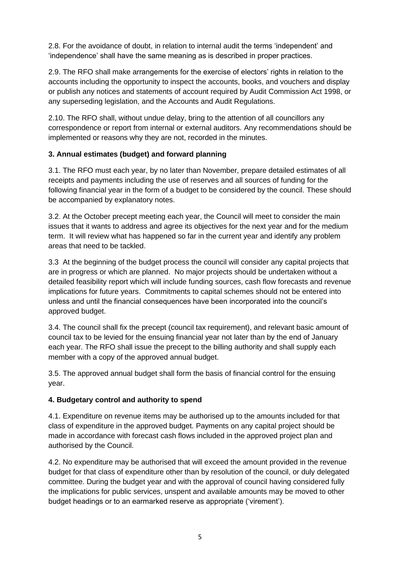2.8. For the avoidance of doubt, in relation to internal audit the terms 'independent' and 'independence' shall have the same meaning as is described in proper practices.

2.9. The RFO shall make arrangements for the exercise of electors' rights in relation to the accounts including the opportunity to inspect the accounts, books, and vouchers and display or publish any notices and statements of account required by Audit Commission Act 1998, or any superseding legislation, and the Accounts and Audit Regulations.

2.10. The RFO shall, without undue delay, bring to the attention of all councillors any correspondence or report from internal or external auditors. Any recommendations should be implemented or reasons why they are not, recorded in the minutes.

## **3. Annual estimates (budget) and forward planning**

3.1. The RFO must each year, by no later than November, prepare detailed estimates of all receipts and payments including the use of reserves and all sources of funding for the following financial year in the form of a budget to be considered by the council. These should be accompanied by explanatory notes.

3.2. At the October precept meeting each year, the Council will meet to consider the main issues that it wants to address and agree its objectives for the next year and for the medium term. It will review what has happened so far in the current year and identify any problem areas that need to be tackled.

3.3 At the beginning of the budget process the council will consider any capital projects that are in progress or which are planned. No major projects should be undertaken without a detailed feasibility report which will include funding sources, cash flow forecasts and revenue implications for future years. Commitments to capital schemes should not be entered into unless and until the financial consequences have been incorporated into the council's approved budget.

3.4. The council shall fix the precept (council tax requirement), and relevant basic amount of council tax to be levied for the ensuing financial year not later than by the end of January each year. The RFO shall issue the precept to the billing authority and shall supply each member with a copy of the approved annual budget.

3.5. The approved annual budget shall form the basis of financial control for the ensuing year.

#### **4. Budgetary control and authority to spend**

4.1. Expenditure on revenue items may be authorised up to the amounts included for that class of expenditure in the approved budget. Payments on any capital project should be made in accordance with forecast cash flows included in the approved project plan and authorised by the Council.

4.2. No expenditure may be authorised that will exceed the amount provided in the revenue budget for that class of expenditure other than by resolution of the council, or duly delegated committee. During the budget year and with the approval of council having considered fully the implications for public services, unspent and available amounts may be moved to other budget headings or to an earmarked reserve as appropriate ('virement').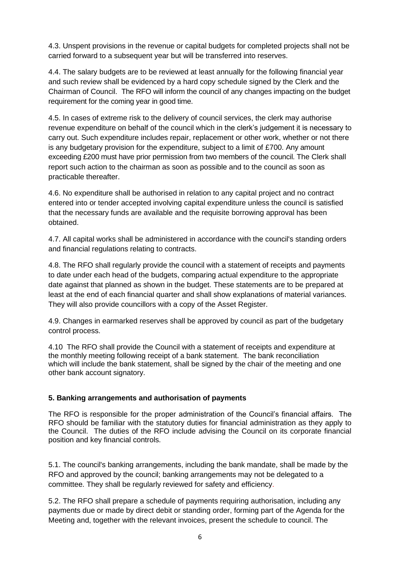4.3. Unspent provisions in the revenue or capital budgets for completed projects shall not be carried forward to a subsequent year but will be transferred into reserves.

4.4. The salary budgets are to be reviewed at least annually for the following financial year and such review shall be evidenced by a hard copy schedule signed by the Clerk and the Chairman of Council. The RFO will inform the council of any changes impacting on the budget requirement for the coming year in good time.

4.5. In cases of extreme risk to the delivery of council services, the clerk may authorise revenue expenditure on behalf of the council which in the clerk's judgement it is necessary to carry out. Such expenditure includes repair, replacement or other work, whether or not there is any budgetary provision for the expenditure, subject to a limit of £700. Any amount exceeding £200 must have prior permission from two members of the council. The Clerk shall report such action to the chairman as soon as possible and to the council as soon as practicable thereafter.

4.6. No expenditure shall be authorised in relation to any capital project and no contract entered into or tender accepted involving capital expenditure unless the council is satisfied that the necessary funds are available and the requisite borrowing approval has been obtained.

4.7. All capital works shall be administered in accordance with the council's standing orders and financial regulations relating to contracts.

4.8. The RFO shall regularly provide the council with a statement of receipts and payments to date under each head of the budgets, comparing actual expenditure to the appropriate date against that planned as shown in the budget. These statements are to be prepared at least at the end of each financial quarter and shall show explanations of material variances. They will also provide councillors with a copy of the Asset Register.

4.9. Changes in earmarked reserves shall be approved by council as part of the budgetary control process.

4.10 The RFO shall provide the Council with a statement of receipts and expenditure at the monthly meeting following receipt of a bank statement. The bank reconciliation which will include the bank statement, shall be signed by the chair of the meeting and one other bank account signatory.

#### **5. Banking arrangements and authorisation of payments**

The RFO is responsible for the proper administration of the Council's financial affairs. The RFO should be familiar with the statutory duties for financial administration as they apply to the Council. The duties of the RFO include advising the Council on its corporate financial position and key financial controls.

5.1. The council's banking arrangements, including the bank mandate, shall be made by the RFO and approved by the council; banking arrangements may not be delegated to a committee. They shall be regularly reviewed for safety and efficiency.

5.2. The RFO shall prepare a schedule of payments requiring authorisation, including any payments due or made by direct debit or standing order, forming part of the Agenda for the Meeting and, together with the relevant invoices, present the schedule to council. The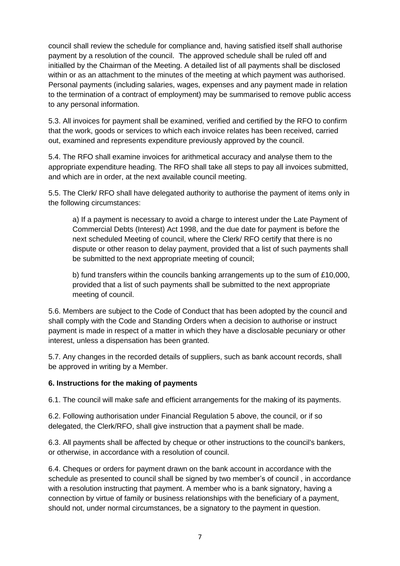council shall review the schedule for compliance and, having satisfied itself shall authorise payment by a resolution of the council. The approved schedule shall be ruled off and initialled by the Chairman of the Meeting. A detailed list of all payments shall be disclosed within or as an attachment to the minutes of the meeting at which payment was authorised. Personal payments (including salaries, wages, expenses and any payment made in relation to the termination of a contract of employment) may be summarised to remove public access to any personal information.

5.3. All invoices for payment shall be examined, verified and certified by the RFO to confirm that the work, goods or services to which each invoice relates has been received, carried out, examined and represents expenditure previously approved by the council.

5.4. The RFO shall examine invoices for arithmetical accuracy and analyse them to the appropriate expenditure heading. The RFO shall take all steps to pay all invoices submitted, and which are in order, at the next available council meeting.

5.5. The Clerk/ RFO shall have delegated authority to authorise the payment of items only in the following circumstances:

a) If a payment is necessary to avoid a charge to interest under the Late Payment of Commercial Debts (Interest) Act 1998, and the due date for payment is before the next scheduled Meeting of council, where the Clerk/ RFO certify that there is no dispute or other reason to delay payment, provided that a list of such payments shall be submitted to the next appropriate meeting of council;

b) fund transfers within the councils banking arrangements up to the sum of £10,000, provided that a list of such payments shall be submitted to the next appropriate meeting of council.

5.6. Members are subject to the Code of Conduct that has been adopted by the council and shall comply with the Code and Standing Orders when a decision to authorise or instruct payment is made in respect of a matter in which they have a disclosable pecuniary or other interest, unless a dispensation has been granted.

5.7. Any changes in the recorded details of suppliers, such as bank account records, shall be approved in writing by a Member.

#### **6. Instructions for the making of payments**

6.1. The council will make safe and efficient arrangements for the making of its payments.

6.2. Following authorisation under Financial Regulation 5 above, the council, or if so delegated, the Clerk/RFO, shall give instruction that a payment shall be made.

6.3. All payments shall be affected by cheque or other instructions to the council's bankers, or otherwise, in accordance with a resolution of council.

6.4. Cheques or orders for payment drawn on the bank account in accordance with the schedule as presented to council shall be signed by two member's of council , in accordance with a resolution instructing that payment. A member who is a bank signatory, having a connection by virtue of family or business relationships with the beneficiary of a payment, should not, under normal circumstances, be a signatory to the payment in question.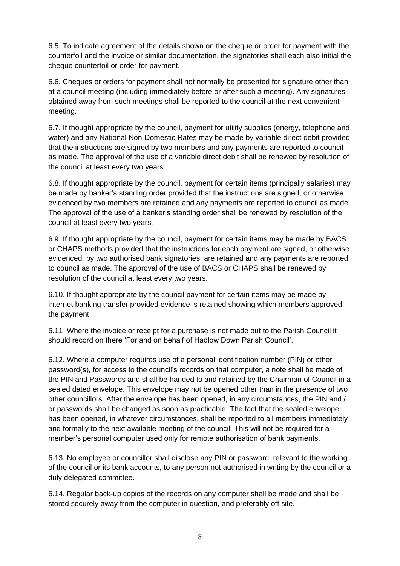6.5. To indicate agreement of the details shown on the cheque or order for payment with the counterfoil and the invoice or similar documentation, the signatories shall each also initial the cheque counterfoil or order for payment.

6.6. Cheques or orders for payment shall not normally be presented for signature other than at a council meeting (including immediately before or after such a meeting). Any signatures obtained away from such meetings shall be reported to the council at the next convenient meeting.

6.7. If thought appropriate by the council, payment for utility supplies (energy, telephone and water) and any National Non-Domestic Rates may be made by variable direct debit provided that the instructions are signed by two members and any payments are reported to council as made. The approval of the use of a variable direct debit shall be renewed by resolution of the council at least every two years.

6.8. If thought appropriate by the council, payment for certain items (principally salaries) may be made by banker's standing order provided that the instructions are signed, or otherwise evidenced by two members are retained and any payments are reported to council as made. The approval of the use of a banker's standing order shall be renewed by resolution of the council at least every two years.

6.9. If thought appropriate by the council, payment for certain items may be made by BACS or CHAPS methods provided that the instructions for each payment are signed, or otherwise evidenced, by two authorised bank signatories, are retained and any payments are reported to council as made. The approval of the use of BACS or CHAPS shall be renewed by resolution of the council at least every two years.

6.10. If thought appropriate by the council payment for certain items may be made by internet banking transfer provided evidence is retained showing which members approved the payment.

6.11 Where the invoice or receipt for a purchase is not made out to the Parish Council it should record on there 'For and on behalf of Hadlow Down Parish Council'.

6.12. Where a computer requires use of a personal identification number (PIN) or other password(s), for access to the council's records on that computer, a note shall be made of the PIN and Passwords and shall be handed to and retained by the Chairman of Council in a sealed dated envelope. This envelope may not be opened other than in the presence of two other councillors. After the envelope has been opened, in any circumstances, the PIN and / or passwords shall be changed as soon as practicable. The fact that the sealed envelope has been opened, in whatever circumstances, shall be reported to all members immediately and formally to the next available meeting of the council. This will not be required for a member's personal computer used only for remote authorisation of bank payments.

6.13. No employee or councillor shall disclose any PIN or password, relevant to the working of the council or its bank accounts, to any person not authorised in writing by the council or a duly delegated committee.

6.14. Regular back-up copies of the records on any computer shall be made and shall be stored securely away from the computer in question, and preferably off site.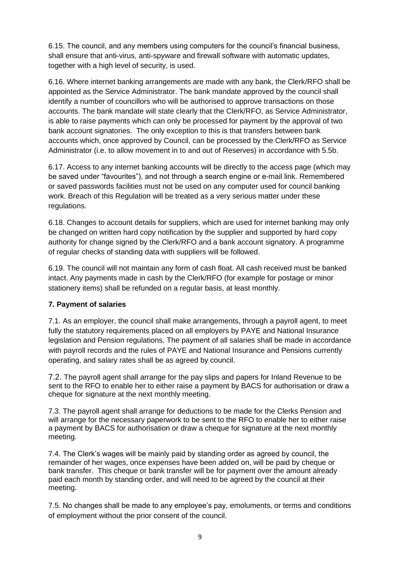6.15. The council, and any members using computers for the council's financial business, shall ensure that anti-virus, anti-spyware and firewall software with automatic updates, together with a high level of security, is used.

6.16. Where internet banking arrangements are made with any bank, the Clerk/RFO shall be appointed as the Service Administrator. The bank mandate approved by the council shall identify a number of councillors who will be authorised to approve transactions on those accounts. The bank mandate will state clearly that the Clerk/RFO, as Service Administrator, is able to raise payments which can only be processed for payment by the approval of two bank account signatories. The only exception to this is that transfers between bank accounts which, once approved by Council, can be processed by the Clerk/RFO as Service Administrator (i.e. to allow movement in to and out of Reserves) in accordance with 5.5b.

6.17. Access to any internet banking accounts will be directly to the access page (which may be saved under "favourites"), and not through a search engine or e-mail link. Remembered or saved passwords facilities must not be used on any computer used for council banking work. Breach of this Regulation will be treated as a very serious matter under these regulations.

6.18. Changes to account details for suppliers, which are used for internet banking may only be changed on written hard copy notification by the supplier and supported by hard copy authority for change signed by the Clerk/RFO and a bank account signatory. A programme of regular checks of standing data with suppliers will be followed.

6.19. The council will not maintain any form of cash float. All cash received must be banked intact. Any payments made in cash by the Clerk/RFO (for example for postage or minor stationery items) shall be refunded on a regular basis, at least monthly.

#### **7. Payment of salaries**

7.1. As an employer, the council shall make arrangements, through a payroll agent, to meet fully the statutory requirements placed on all employers by PAYE and National Insurance legislation and Pension regulations. The payment of all salaries shall be made in accordance with payroll records and the rules of PAYE and National Insurance and Pensions currently operating, and salary rates shall be as agreed by council.

7.2. The payroll agent shall arrange for the pay slips and papers for Inland Revenue to be sent to the RFO to enable her to either raise a payment by BACS for authorisation or draw a cheque for signature at the next monthly meeting.

7.3. The payroll agent shall arrange for deductions to be made for the Clerks Pension and will arrange for the necessary paperwork to be sent to the RFO to enable her to either raise a payment by BACS for authorisation or draw a cheque for signature at the next monthly meeting.

7.4. The Clerk's wages will be mainly paid by standing order as agreed by council, the remainder of her wages, once expenses have been added on, will be paid by cheque or bank transfer. This cheque or bank transfer will be for payment over the amount already paid each month by standing order, and will need to be agreed by the council at their meeting.

7.5. No changes shall be made to any employee's pay, emoluments, or terms and conditions of employment without the prior consent of the council.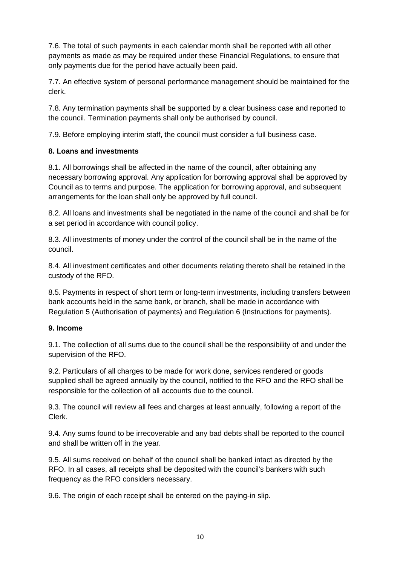7.6. The total of such payments in each calendar month shall be reported with all other payments as made as may be required under these Financial Regulations, to ensure that only payments due for the period have actually been paid.

7.7. An effective system of personal performance management should be maintained for the clerk.

7.8. Any termination payments shall be supported by a clear business case and reported to the council. Termination payments shall only be authorised by council.

7.9. Before employing interim staff, the council must consider a full business case.

#### **8. Loans and investments**

8.1. All borrowings shall be affected in the name of the council, after obtaining any necessary borrowing approval. Any application for borrowing approval shall be approved by Council as to terms and purpose. The application for borrowing approval, and subsequent arrangements for the loan shall only be approved by full council.

8.2. All loans and investments shall be negotiated in the name of the council and shall be for a set period in accordance with council policy.

8.3. All investments of money under the control of the council shall be in the name of the council.

8.4. All investment certificates and other documents relating thereto shall be retained in the custody of the RFO.

8.5. Payments in respect of short term or long-term investments, including transfers between bank accounts held in the same bank, or branch, shall be made in accordance with Regulation 5 (Authorisation of payments) and Regulation 6 (Instructions for payments).

#### **9. Income**

9.1. The collection of all sums due to the council shall be the responsibility of and under the supervision of the RFO.

9.2. Particulars of all charges to be made for work done, services rendered or goods supplied shall be agreed annually by the council, notified to the RFO and the RFO shall be responsible for the collection of all accounts due to the council.

9.3. The council will review all fees and charges at least annually, following a report of the Clerk.

9.4. Any sums found to be irrecoverable and any bad debts shall be reported to the council and shall be written off in the year.

9.5. All sums received on behalf of the council shall be banked intact as directed by the RFO. In all cases, all receipts shall be deposited with the council's bankers with such frequency as the RFO considers necessary.

9.6. The origin of each receipt shall be entered on the paying-in slip.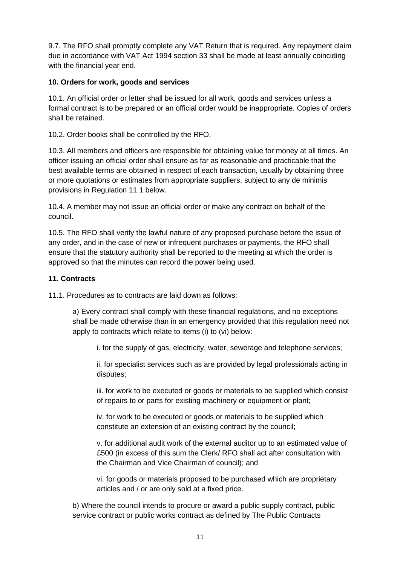9.7. The RFO shall promptly complete any VAT Return that is required. Any repayment claim due in accordance with VAT Act 1994 section 33 shall be made at least annually coinciding with the financial year end.

#### **10. Orders for work, goods and services**

10.1. An official order or letter shall be issued for all work, goods and services unless a formal contract is to be prepared or an official order would be inappropriate. Copies of orders shall be retained.

10.2. Order books shall be controlled by the RFO.

10.3. All members and officers are responsible for obtaining value for money at all times. An officer issuing an official order shall ensure as far as reasonable and practicable that the best available terms are obtained in respect of each transaction, usually by obtaining three or more quotations or estimates from appropriate suppliers, subject to any de minimis provisions in Regulation 11.1 below.

10.4. A member may not issue an official order or make any contract on behalf of the council.

10.5. The RFO shall verify the lawful nature of any proposed purchase before the issue of any order, and in the case of new or infrequent purchases or payments, the RFO shall ensure that the statutory authority shall be reported to the meeting at which the order is approved so that the minutes can record the power being used.

#### **11. Contracts**

11.1. Procedures as to contracts are laid down as follows:

a) Every contract shall comply with these financial regulations, and no exceptions shall be made otherwise than in an emergency provided that this regulation need not apply to contracts which relate to items (i) to (vi) below:

i. for the supply of gas, electricity, water, sewerage and telephone services;

ii. for specialist services such as are provided by legal professionals acting in disputes;

iii. for work to be executed or goods or materials to be supplied which consist of repairs to or parts for existing machinery or equipment or plant;

iv. for work to be executed or goods or materials to be supplied which constitute an extension of an existing contract by the council;

v. for additional audit work of the external auditor up to an estimated value of £500 (in excess of this sum the Clerk/ RFO shall act after consultation with the Chairman and Vice Chairman of council); and

vi. for goods or materials proposed to be purchased which are proprietary articles and / or are only sold at a fixed price.

b) Where the council intends to procure or award a public supply contract, public service contract or public works contract as defined by The Public Contracts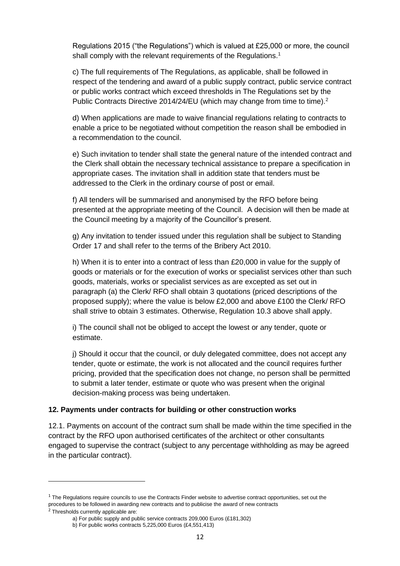Regulations 2015 ("the Regulations") which is valued at £25,000 or more, the council shall comply with the relevant requirements of the Regulations.<sup>1</sup>

c) The full requirements of The Regulations, as applicable, shall be followed in respect of the tendering and award of a public supply contract, public service contract or public works contract which exceed thresholds in The Regulations set by the Public Contracts Directive 2014/24/EU (which may change from time to time).<sup>2</sup>

d) When applications are made to waive financial regulations relating to contracts to enable a price to be negotiated without competition the reason shall be embodied in a recommendation to the council.

e) Such invitation to tender shall state the general nature of the intended contract and the Clerk shall obtain the necessary technical assistance to prepare a specification in appropriate cases. The invitation shall in addition state that tenders must be addressed to the Clerk in the ordinary course of post or email.

f) All tenders will be summarised and anonymised by the RFO before being presented at the appropriate meeting of the Council. A decision will then be made at the Council meeting by a majority of the Councillor's present.

g) Any invitation to tender issued under this regulation shall be subject to Standing Order 17 and shall refer to the terms of the Bribery Act 2010.

h) When it is to enter into a contract of less than £20,000 in value for the supply of goods or materials or for the execution of works or specialist services other than such goods, materials, works or specialist services as are excepted as set out in paragraph (a) the Clerk/ RFO shall obtain 3 quotations (priced descriptions of the proposed supply); where the value is below £2,000 and above £100 the Clerk/ RFO shall strive to obtain 3 estimates. Otherwise, Regulation 10.3 above shall apply.

i) The council shall not be obliged to accept the lowest or any tender, quote or estimate.

j) Should it occur that the council, or duly delegated committee, does not accept any tender, quote or estimate, the work is not allocated and the council requires further pricing, provided that the specification does not change, no person shall be permitted to submit a later tender, estimate or quote who was present when the original decision-making process was being undertaken.

#### **12. Payments under contracts for building or other construction works**

12.1. Payments on account of the contract sum shall be made within the time specified in the contract by the RFO upon authorised certificates of the architect or other consultants engaged to supervise the contract (subject to any percentage withholding as may be agreed in the particular contract).

 $1$  The Regulations require councils to use the Contracts Finder website to advertise contract opportunities, set out the procedures to be followed in awarding new contracts and to publicise the award of new contracts

<sup>&</sup>lt;sup>2</sup> Thresholds currently applicable are:

a) For public supply and public service contracts 209,000 Euros (£181,302)

b) For public works contracts 5,225,000 Euros (£4,551,413)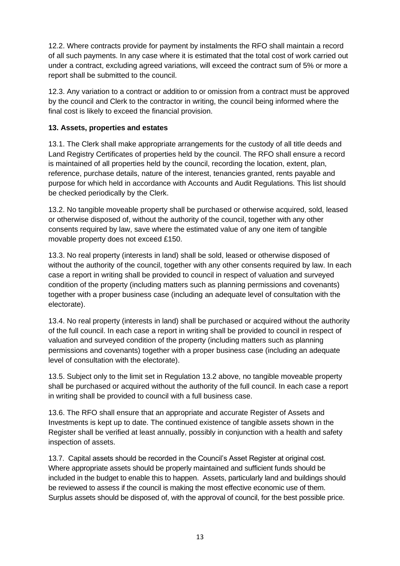12.2. Where contracts provide for payment by instalments the RFO shall maintain a record of all such payments. In any case where it is estimated that the total cost of work carried out under a contract, excluding agreed variations, will exceed the contract sum of 5% or more a report shall be submitted to the council.

12.3. Any variation to a contract or addition to or omission from a contract must be approved by the council and Clerk to the contractor in writing, the council being informed where the final cost is likely to exceed the financial provision.

### **13. Assets, properties and estates**

13.1. The Clerk shall make appropriate arrangements for the custody of all title deeds and Land Registry Certificates of properties held by the council. The RFO shall ensure a record is maintained of all properties held by the council, recording the location, extent, plan, reference, purchase details, nature of the interest, tenancies granted, rents payable and purpose for which held in accordance with Accounts and Audit Regulations. This list should be checked periodically by the Clerk.

13.2. No tangible moveable property shall be purchased or otherwise acquired, sold, leased or otherwise disposed of, without the authority of the council, together with any other consents required by law, save where the estimated value of any one item of tangible movable property does not exceed £150.

13.3. No real property (interests in land) shall be sold, leased or otherwise disposed of without the authority of the council, together with any other consents required by law. In each case a report in writing shall be provided to council in respect of valuation and surveyed condition of the property (including matters such as planning permissions and covenants) together with a proper business case (including an adequate level of consultation with the electorate).

13.4. No real property (interests in land) shall be purchased or acquired without the authority of the full council. In each case a report in writing shall be provided to council in respect of valuation and surveyed condition of the property (including matters such as planning permissions and covenants) together with a proper business case (including an adequate level of consultation with the electorate).

13.5. Subject only to the limit set in Regulation 13.2 above, no tangible moveable property shall be purchased or acquired without the authority of the full council. In each case a report in writing shall be provided to council with a full business case.

13.6. The RFO shall ensure that an appropriate and accurate Register of Assets and Investments is kept up to date. The continued existence of tangible assets shown in the Register shall be verified at least annually, possibly in conjunction with a health and safety inspection of assets.

13.7. Capital assets should be recorded in the Council's Asset Register at original cost. Where appropriate assets should be properly maintained and sufficient funds should be included in the budget to enable this to happen. Assets, particularly land and buildings should be reviewed to assess if the council is making the most effective economic use of them. Surplus assets should be disposed of, with the approval of council, for the best possible price.